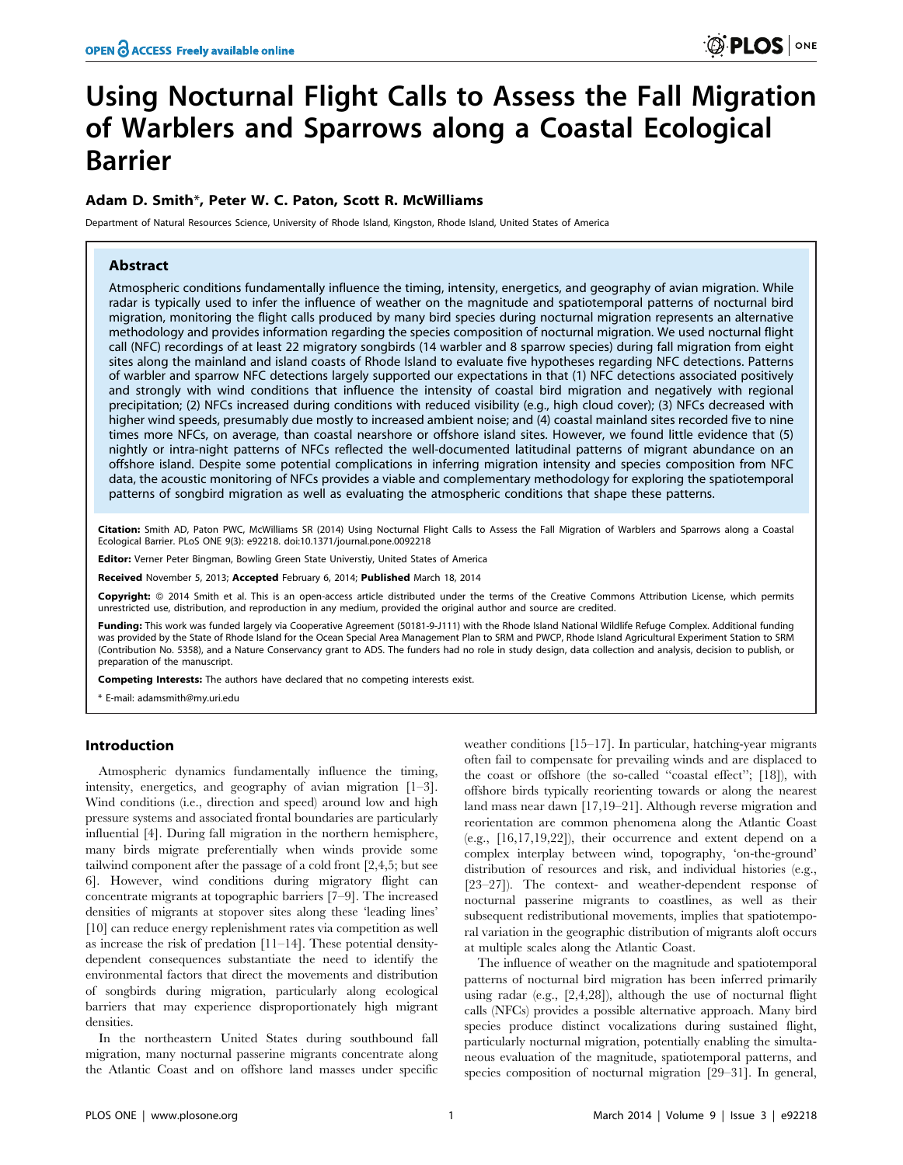# Using Nocturnal Flight Calls to Assess the Fall Migration of Warblers and Sparrows along a Coastal Ecological Barrier

# Adam D. Smith\*, Peter W. C. Paton, Scott R. McWilliams

Department of Natural Resources Science, University of Rhode Island, Kingston, Rhode Island, United States of America

## Abstract

Atmospheric conditions fundamentally influence the timing, intensity, energetics, and geography of avian migration. While radar is typically used to infer the influence of weather on the magnitude and spatiotemporal patterns of nocturnal bird migration, monitoring the flight calls produced by many bird species during nocturnal migration represents an alternative methodology and provides information regarding the species composition of nocturnal migration. We used nocturnal flight call (NFC) recordings of at least 22 migratory songbirds (14 warbler and 8 sparrow species) during fall migration from eight sites along the mainland and island coasts of Rhode Island to evaluate five hypotheses regarding NFC detections. Patterns of warbler and sparrow NFC detections largely supported our expectations in that (1) NFC detections associated positively and strongly with wind conditions that influence the intensity of coastal bird migration and negatively with regional precipitation; (2) NFCs increased during conditions with reduced visibility (e.g., high cloud cover); (3) NFCs decreased with higher wind speeds, presumably due mostly to increased ambient noise; and (4) coastal mainland sites recorded five to nine times more NFCs, on average, than coastal nearshore or offshore island sites. However, we found little evidence that (5) nightly or intra-night patterns of NFCs reflected the well-documented latitudinal patterns of migrant abundance on an offshore island. Despite some potential complications in inferring migration intensity and species composition from NFC data, the acoustic monitoring of NFCs provides a viable and complementary methodology for exploring the spatiotemporal patterns of songbird migration as well as evaluating the atmospheric conditions that shape these patterns.

Citation: Smith AD, Paton PWC, McWilliams SR (2014) Using Nocturnal Flight Calls to Assess the Fall Migration of Warblers and Sparrows along a Coastal Ecological Barrier. PLoS ONE 9(3): e92218. doi:10.1371/journal.pone.0092218

Editor: Verner Peter Bingman, Bowling Green State Universtiy, United States of America

Received November 5, 2013; Accepted February 6, 2014; Published March 18, 2014

Copyright: © 2014 Smith et al. This is an open-access article distributed under the terms of the [Creative Commons Attribution License](http://creativecommons.org/licenses/by/4.0/), which permits unrestricted use, distribution, and reproduction in any medium, provided the original author and source are credited.

Funding: This work was funded largely via Cooperative Agreement (50181-9-J111) with the Rhode Island National Wildlife Refuge Complex. Additional funding was provided by the State of Rhode Island for the Ocean Special Area Management Plan to SRM and PWCP, Rhode Island Agricultural Experiment Station to SRM (Contribution No. 5358), and a Nature Conservancy grant to ADS. The funders had no role in study design, data collection and analysis, decision to publish, or preparation of the manuscript.

Competing Interests: The authors have declared that no competing interests exist.

\* E-mail: adamsmith@my.uri.edu

## Introduction

Atmospheric dynamics fundamentally influence the timing, intensity, energetics, and geography of avian migration [1–3]. Wind conditions (i.e., direction and speed) around low and high pressure systems and associated frontal boundaries are particularly influential [4]. During fall migration in the northern hemisphere, many birds migrate preferentially when winds provide some tailwind component after the passage of a cold front [2,4,5; but see 6]. However, wind conditions during migratory flight can concentrate migrants at topographic barriers [7–9]. The increased densities of migrants at stopover sites along these 'leading lines' [10] can reduce energy replenishment rates via competition as well as increase the risk of predation [11–14]. These potential densitydependent consequences substantiate the need to identify the environmental factors that direct the movements and distribution of songbirds during migration, particularly along ecological barriers that may experience disproportionately high migrant densities.

In the northeastern United States during southbound fall migration, many nocturnal passerine migrants concentrate along the Atlantic Coast and on offshore land masses under specific

weather conditions [15–17]. In particular, hatching-year migrants often fail to compensate for prevailing winds and are displaced to the coast or offshore (the so-called ''coastal effect''; [18]), with offshore birds typically reorienting towards or along the nearest land mass near dawn [17,19–21]. Although reverse migration and reorientation are common phenomena along the Atlantic Coast (e.g., [16,17,19,22]), their occurrence and extent depend on a complex interplay between wind, topography, 'on-the-ground' distribution of resources and risk, and individual histories (e.g., [23–27]). The context- and weather-dependent response of nocturnal passerine migrants to coastlines, as well as their subsequent redistributional movements, implies that spatiotemporal variation in the geographic distribution of migrants aloft occurs at multiple scales along the Atlantic Coast.

The influence of weather on the magnitude and spatiotemporal patterns of nocturnal bird migration has been inferred primarily using radar (e.g., [2,4,28]), although the use of nocturnal flight calls (NFCs) provides a possible alternative approach. Many bird species produce distinct vocalizations during sustained flight, particularly nocturnal migration, potentially enabling the simultaneous evaluation of the magnitude, spatiotemporal patterns, and species composition of nocturnal migration [29–31]. In general,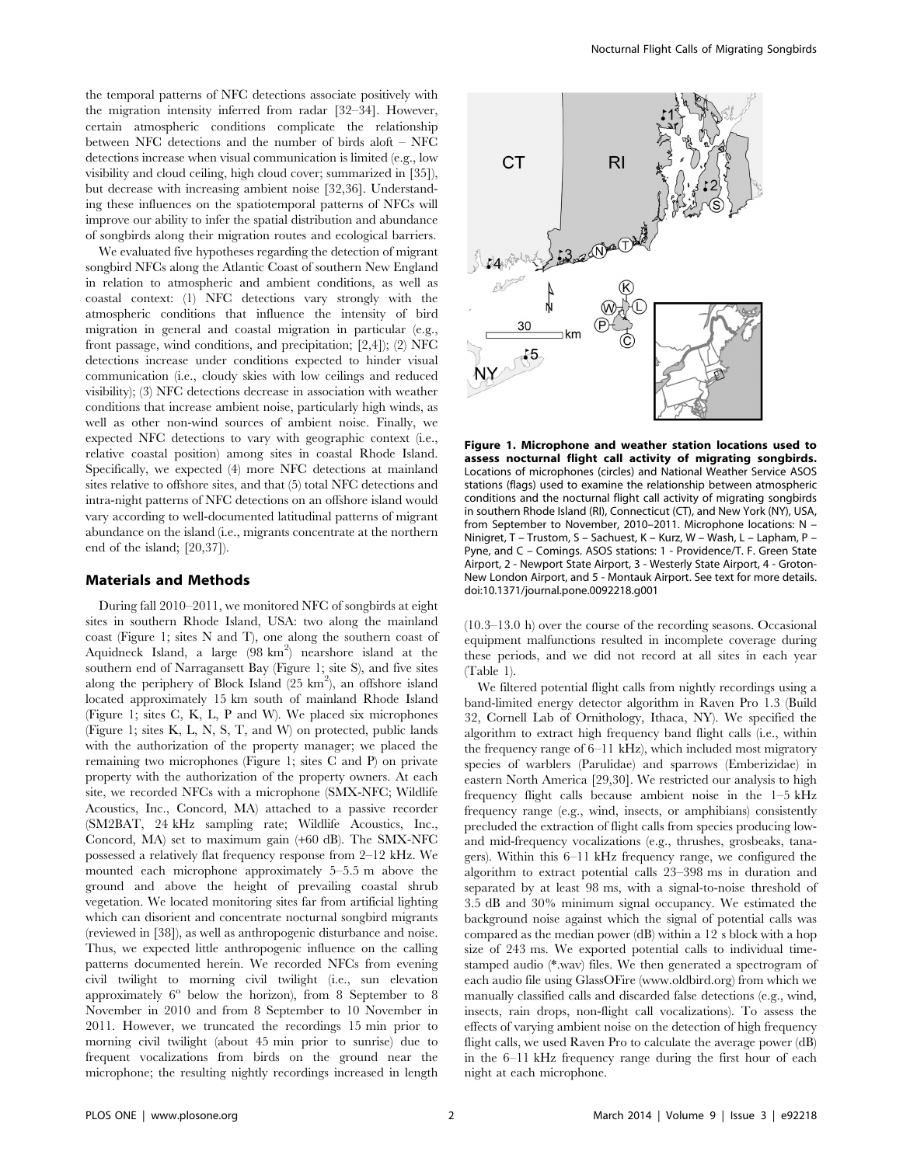the temporal patterns of NFC detections associate positively with the migration intensity inferred from radar [32–34]. However, certain atmospheric conditions complicate the relationship between NFC detections and the number of birds aloft – NFC detections increase when visual communication is limited (e.g., low visibility and cloud ceiling, high cloud cover; summarized in [35]), but decrease with increasing ambient noise [32,36]. Understanding these influences on the spatiotemporal patterns of NFCs will improve our ability to infer the spatial distribution and abundance of songbirds along their migration routes and ecological barriers.

We evaluated five hypotheses regarding the detection of migrant songbird NFCs along the Atlantic Coast of southern New England in relation to atmospheric and ambient conditions, as well as coastal context: (1) NFC detections vary strongly with the atmospheric conditions that influence the intensity of bird migration in general and coastal migration in particular (e.g., front passage, wind conditions, and precipitation; [2,4]); (2) NFC detections increase under conditions expected to hinder visual communication (i.e., cloudy skies with low ceilings and reduced visibility); (3) NFC detections decrease in association with weather conditions that increase ambient noise, particularly high winds, as well as other non-wind sources of ambient noise. Finally, we expected NFC detections to vary with geographic context (i.e., relative coastal position) among sites in coastal Rhode Island. Specifically, we expected (4) more NFC detections at mainland sites relative to offshore sites, and that (5) total NFC detections and intra-night patterns of NFC detections on an offshore island would vary according to well-documented latitudinal patterns of migrant abundance on the island (i.e., migrants concentrate at the northern end of the island; [20,37]).

## Materials and Methods

During fall 2010–2011, we monitored NFC of songbirds at eight sites in southern Rhode Island, USA: two along the mainland coast (Figure 1; sites N and T), one along the southern coast of Aquidneck Island, a large  $(98 \text{ km}^2)$  nearshore island at the southern end of Narragansett Bay (Figure 1; site S), and five sites along the periphery of Block Island  $(25 \text{ km}^2)$ , an offshore island located approximately 15 km south of mainland Rhode Island (Figure 1; sites C, K, L, P and W). We placed six microphones (Figure 1; sites K, L, N, S, T, and W) on protected, public lands with the authorization of the property manager; we placed the remaining two microphones (Figure 1; sites C and P) on private property with the authorization of the property owners. At each site, we recorded NFCs with a microphone (SMX-NFC; Wildlife Acoustics, Inc., Concord, MA) attached to a passive recorder (SM2BAT, 24 kHz sampling rate; Wildlife Acoustics, Inc., Concord, MA) set to maximum gain (+60 dB). The SMX-NFC possessed a relatively flat frequency response from 2–12 kHz. We mounted each microphone approximately 5–5.5 m above the ground and above the height of prevailing coastal shrub vegetation. We located monitoring sites far from artificial lighting which can disorient and concentrate nocturnal songbird migrants (reviewed in [38]), as well as anthropogenic disturbance and noise. Thus, we expected little anthropogenic influence on the calling patterns documented herein. We recorded NFCs from evening civil twilight to morning civil twilight (i.e., sun elevation approximately  $6^{\circ}$  below the horizon), from 8 September to 8 November in 2010 and from 8 September to 10 November in 2011. However, we truncated the recordings 15 min prior to morning civil twilight (about 45 min prior to sunrise) due to frequent vocalizations from birds on the ground near the microphone; the resulting nightly recordings increased in length



Figure 1. Microphone and weather station locations used to assess nocturnal flight call activity of migrating songbirds. Locations of microphones (circles) and National Weather Service ASOS stations (flags) used to examine the relationship between atmospheric conditions and the nocturnal flight call activity of migrating songbirds in southern Rhode Island (RI), Connecticut (CT), and New York (NY), USA, from September to November, 2010–2011. Microphone locations: N – Ninigret, T – Trustom, S – Sachuest, K – Kurz, W – Wash, L – Lapham, P – Pyne, and C – Comings. ASOS stations: 1 - Providence/T. F. Green State Airport, 2 - Newport State Airport, 3 - Westerly State Airport, 4 - Groton-New London Airport, and 5 - Montauk Airport. See text for more details. doi:10.1371/journal.pone.0092218.g001

(10.3–13.0 h) over the course of the recording seasons. Occasional equipment malfunctions resulted in incomplete coverage during these periods, and we did not record at all sites in each year (Table 1).

We filtered potential flight calls from nightly recordings using a band-limited energy detector algorithm in Raven Pro 1.3 (Build 32, Cornell Lab of Ornithology, Ithaca, NY). We specified the algorithm to extract high frequency band flight calls (i.e., within the frequency range of 6–11 kHz), which included most migratory species of warblers (Parulidae) and sparrows (Emberizidae) in eastern North America [29,30]. We restricted our analysis to high frequency flight calls because ambient noise in the 1–5 kHz frequency range (e.g., wind, insects, or amphibians) consistently precluded the extraction of flight calls from species producing lowand mid-frequency vocalizations (e.g., thrushes, grosbeaks, tanagers). Within this 6–11 kHz frequency range, we configured the algorithm to extract potential calls 23–398 ms in duration and separated by at least 98 ms, with a signal-to-noise threshold of 3.5 dB and 30% minimum signal occupancy. We estimated the background noise against which the signal of potential calls was compared as the median power (dB) within a 12 s block with a hop size of 243 ms. We exported potential calls to individual timestamped audio (\*.wav) files. We then generated a spectrogram of each audio file using GlassOFire ([www.oldbird.org\)](www.oldbird.org) from which we manually classified calls and discarded false detections (e.g., wind, insects, rain drops, non-flight call vocalizations). To assess the effects of varying ambient noise on the detection of high frequency flight calls, we used Raven Pro to calculate the average power (dB) in the 6–11 kHz frequency range during the first hour of each night at each microphone.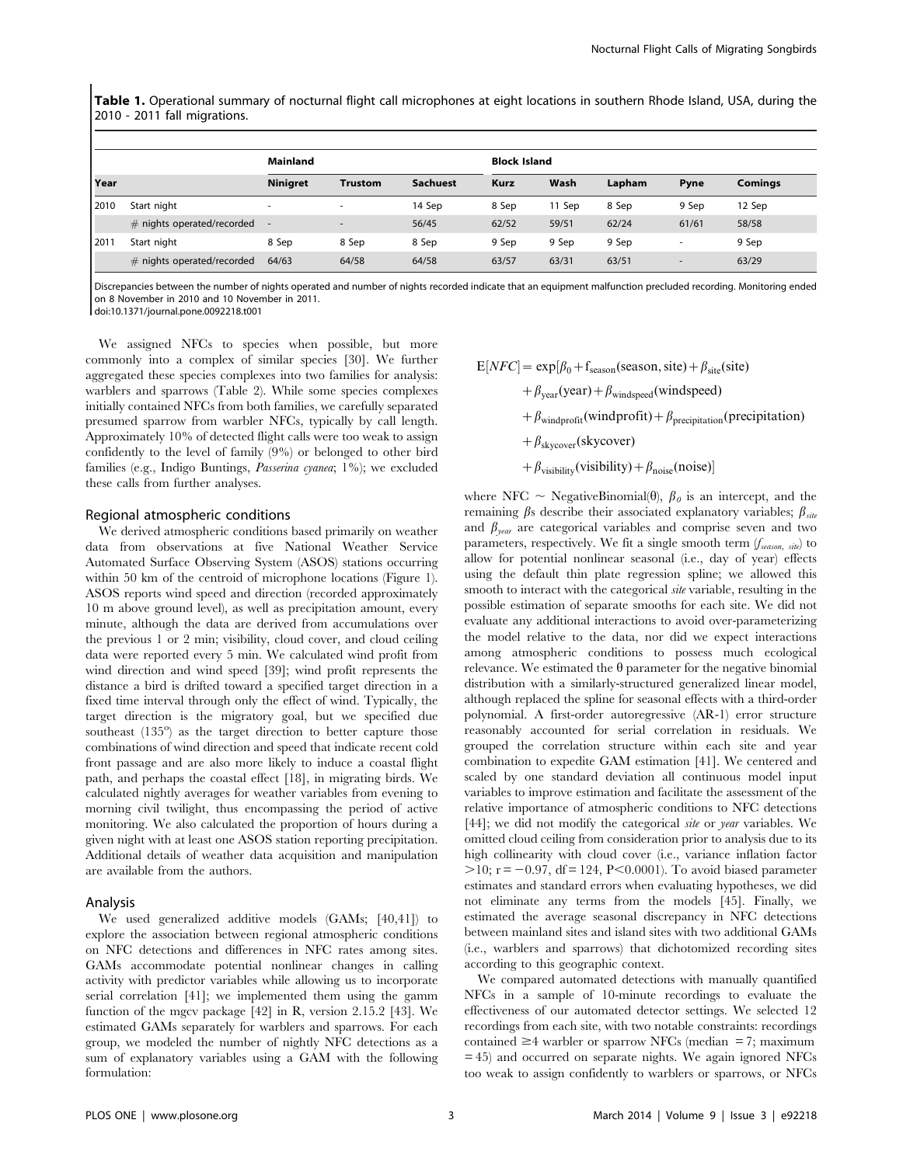Table 1. Operational summary of nocturnal flight call microphones at eight locations in southern Rhode Island, USA, during the 2010 - 2011 fall migrations.

|      |                              | <b>Mainland</b>          |                          |                 | <b>Block Island</b> |        |        |       |                |  |
|------|------------------------------|--------------------------|--------------------------|-----------------|---------------------|--------|--------|-------|----------------|--|
| Year |                              | <b>Ninigret</b>          | <b>Trustom</b>           | <b>Sachuest</b> | <b>Kurz</b>         | Wash   | Lapham | Pyne  | <b>Comings</b> |  |
| 2010 | Start night                  | $\overline{\phantom{a}}$ | $\overline{\phantom{a}}$ | 14 Sep          | 8 Sep               | 11 Sep | 8 Sep  | 9 Sep | 12 Sep         |  |
|      | $#$ nights operated/recorded |                          |                          | 56/45           | 62/52               | 59/51  | 62/24  | 61/61 | 58/58          |  |
| 2011 | Start night                  | 8 Sep                    | 8 Sep                    | 8 Sep           | 9 Sep               | 9 Sep  | 9 Sep  |       | 9 Sep          |  |
|      | $#$ nights operated/recorded | 64/63                    | 64/58                    | 64/58           | 63/57               | 63/31  | 63/51  |       | 63/29          |  |

Discrepancies between the number of nights operated and number of nights recorded indicate that an equipment malfunction precluded recording. Monitoring ended on 8 November in 2010 and 10 November in 2011.

doi:10.1371/journal.pone.0092218.t001

We assigned NFCs to species when possible, but more commonly into a complex of similar species [30]. We further aggregated these species complexes into two families for analysis: warblers and sparrows (Table 2). While some species complexes initially contained NFCs from both families, we carefully separated presumed sparrow from warbler NFCs, typically by call length. Approximately 10% of detected flight calls were too weak to assign confidently to the level of family (9%) or belonged to other bird families (e.g., Indigo Buntings, Passerina cyanea; 1%); we excluded these calls from further analyses.

### Regional atmospheric conditions

We derived atmospheric conditions based primarily on weather data from observations at five National Weather Service Automated Surface Observing System (ASOS) stations occurring within 50 km of the centroid of microphone locations (Figure 1). ASOS reports wind speed and direction (recorded approximately 10 m above ground level), as well as precipitation amount, every minute, although the data are derived from accumulations over the previous 1 or 2 min; visibility, cloud cover, and cloud ceiling data were reported every 5 min. We calculated wind profit from wind direction and wind speed [39]; wind profit represents the distance a bird is drifted toward a specified target direction in a fixed time interval through only the effect of wind. Typically, the target direction is the migratory goal, but we specified due southeast (135°) as the target direction to better capture those combinations of wind direction and speed that indicate recent cold front passage and are also more likely to induce a coastal flight path, and perhaps the coastal effect [18], in migrating birds. We calculated nightly averages for weather variables from evening to morning civil twilight, thus encompassing the period of active monitoring. We also calculated the proportion of hours during a given night with at least one ASOS station reporting precipitation. Additional details of weather data acquisition and manipulation are available from the authors.

## Analysis

We used generalized additive models (GAMs; [40,41]) to explore the association between regional atmospheric conditions on NFC detections and differences in NFC rates among sites. GAMs accommodate potential nonlinear changes in calling activity with predictor variables while allowing us to incorporate serial correlation [41]; we implemented them using the gamm function of the mgcv package [42] in R, version 2.15.2 [43]. We estimated GAMs separately for warblers and sparrows. For each group, we modeled the number of nightly NFC detections as a sum of explanatory variables using a GAM with the following formulation:

$$
E[NFC] = \exp[\beta_0 + f_{\text{season}}(\text{season}, \text{site}) + \beta_{\text{site}}(\text{site})
$$

 $+\beta_{\text{year}}(\text{year})+\beta_{\text{windspeed}}(\text{windspeed})$ 

 $+\beta_{\text{windowofft}}(\text{windowofft})+\beta_{\text{precription}}(\text{precription})$ 

- $+\beta_{\text{skvcover}}(\text{skycover})$
- $+\beta_{\text{visibility}}(\text{visibility})+\beta_{\text{noise}}(\text{noise})$

where NFC  $\sim$  NegativeBinomial( $\theta$ ),  $\beta_{\theta}$  is an intercept, and the remaining  $\beta$ s describe their associated explanatory variables;  $\beta_{site}$ and  $\beta_{\text{year}}$  are categorical variables and comprise seven and two parameters, respectively. We fit a single smooth term  $(f_{season, site})$  to allow for potential nonlinear seasonal (i.e., day of year) effects using the default thin plate regression spline; we allowed this smooth to interact with the categorical *site* variable, resulting in the possible estimation of separate smooths for each site. We did not evaluate any additional interactions to avoid over-parameterizing the model relative to the data, nor did we expect interactions among atmospheric conditions to possess much ecological relevance. We estimated the  $\theta$  parameter for the negative binomial distribution with a similarly-structured generalized linear model, although replaced the spline for seasonal effects with a third-order polynomial. A first-order autoregressive (AR-1) error structure reasonably accounted for serial correlation in residuals. We grouped the correlation structure within each site and year combination to expedite GAM estimation [41]. We centered and scaled by one standard deviation all continuous model input variables to improve estimation and facilitate the assessment of the relative importance of atmospheric conditions to NFC detections [44]; we did not modify the categorical *site* or *year* variables. We omitted cloud ceiling from consideration prior to analysis due to its high collinearity with cloud cover (i.e., variance inflation factor  $> 10$ ; r = -0.97, df = 124, P<0.0001). To avoid biased parameter estimates and standard errors when evaluating hypotheses, we did not eliminate any terms from the models [45]. Finally, we estimated the average seasonal discrepancy in NFC detections between mainland sites and island sites with two additional GAMs (i.e., warblers and sparrows) that dichotomized recording sites according to this geographic context.

We compared automated detections with manually quantified NFCs in a sample of 10-minute recordings to evaluate the effectiveness of our automated detector settings. We selected 12 recordings from each site, with two notable constraints: recordings contained  $\geq$ 4 warbler or sparrow NFCs (median = 7; maximum = 45) and occurred on separate nights. We again ignored NFCs too weak to assign confidently to warblers or sparrows, or NFCs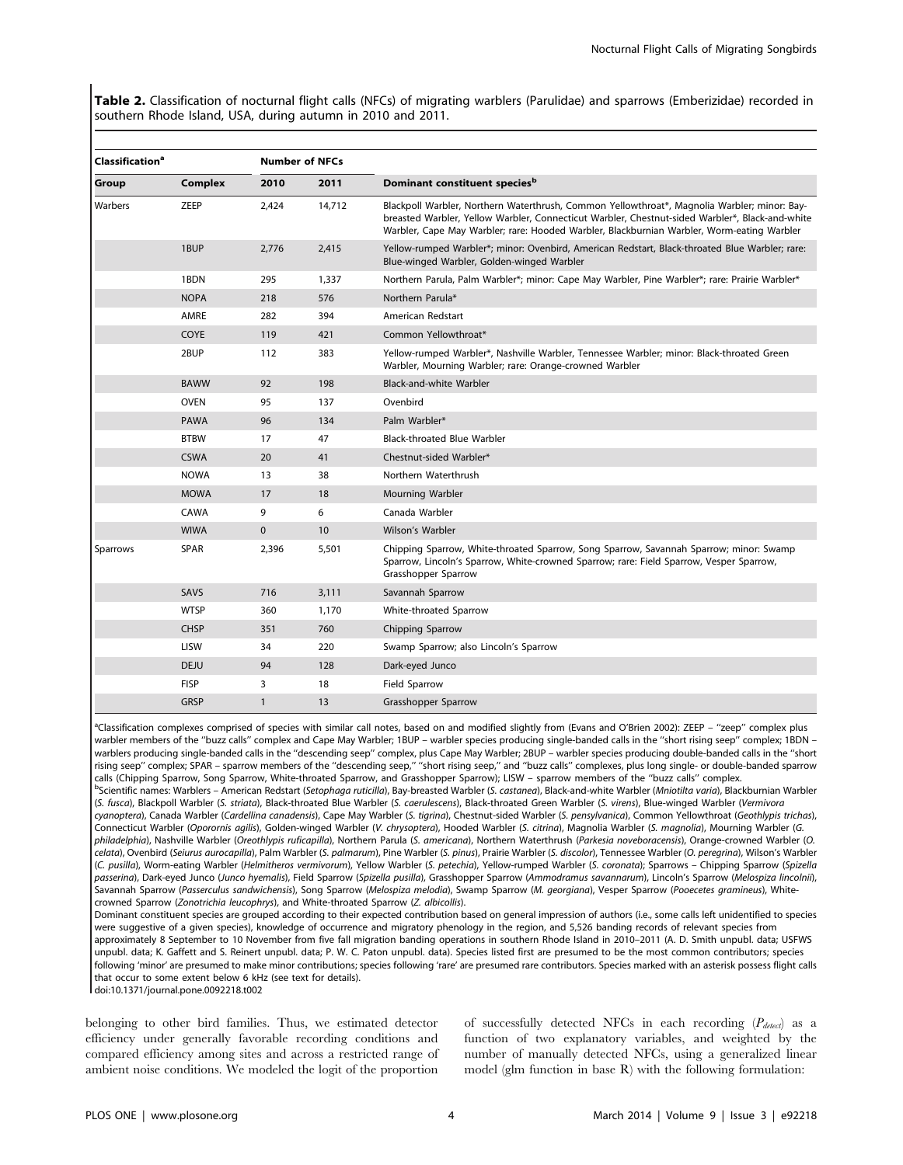Table 2. Classification of nocturnal flight calls (NFCs) of migrating warblers (Parulidae) and sparrows (Emberizidae) recorded in southern Rhode Island, USA, during autumn in 2010 and 2011.

| <b>Classification<sup>a</sup></b> |             |              | <b>Number of NFCs</b> |                                                                                                                                                                                                                                                                                               |
|-----------------------------------|-------------|--------------|-----------------------|-----------------------------------------------------------------------------------------------------------------------------------------------------------------------------------------------------------------------------------------------------------------------------------------------|
| Group                             | Complex     | 2010         | 2011                  | Dominant constituent species <sup>b</sup>                                                                                                                                                                                                                                                     |
| Warbers                           | ZEEP        | 2,424        | 14,712                | Blackpoll Warbler, Northern Waterthrush, Common Yellowthroat*, Magnolia Warbler; minor: Bay-<br>breasted Warbler, Yellow Warbler, Connecticut Warbler, Chestnut-sided Warbler*, Black-and-white<br>Warbler, Cape May Warbler; rare: Hooded Warbler, Blackburnian Warbler, Worm-eating Warbler |
|                                   | 1BUP        | 2,776        | 2,415                 | Yellow-rumped Warbler*; minor: Ovenbird, American Redstart, Black-throated Blue Warbler; rare:<br>Blue-winged Warbler, Golden-winged Warbler                                                                                                                                                  |
|                                   | 1BDN        | 295          | 1,337                 | Northern Parula, Palm Warbler*; minor: Cape May Warbler, Pine Warbler*; rare: Prairie Warbler*                                                                                                                                                                                                |
|                                   | <b>NOPA</b> | 218          | 576                   | Northern Parula*                                                                                                                                                                                                                                                                              |
|                                   | AMRE        | 282          | 394                   | American Redstart                                                                                                                                                                                                                                                                             |
|                                   | COYE        | 119          | 421                   | Common Yellowthroat*                                                                                                                                                                                                                                                                          |
|                                   | 2BUP        | 112          | 383                   | Yellow-rumped Warbler*, Nashville Warbler, Tennessee Warbler; minor: Black-throated Green<br>Warbler, Mourning Warbler; rare: Orange-crowned Warbler                                                                                                                                          |
|                                   | <b>BAWW</b> | 92           | 198                   | Black-and-white Warbler                                                                                                                                                                                                                                                                       |
|                                   | <b>OVEN</b> | 95           | 137                   | Ovenbird                                                                                                                                                                                                                                                                                      |
|                                   | <b>PAWA</b> | 96           | 134                   | Palm Warbler*                                                                                                                                                                                                                                                                                 |
|                                   | <b>BTBW</b> | 17           | 47                    | <b>Black-throated Blue Warbler</b>                                                                                                                                                                                                                                                            |
|                                   | <b>CSWA</b> | 20           | 41                    | Chestnut-sided Warbler*                                                                                                                                                                                                                                                                       |
|                                   | <b>NOWA</b> | 13           | 38                    | Northern Waterthrush                                                                                                                                                                                                                                                                          |
|                                   | <b>MOWA</b> | 17           | 18                    | Mourning Warbler                                                                                                                                                                                                                                                                              |
|                                   | CAWA        | 9            | 6                     | Canada Warbler                                                                                                                                                                                                                                                                                |
|                                   | <b>WIWA</b> | $\mathbf{0}$ | 10                    | Wilson's Warbler                                                                                                                                                                                                                                                                              |
| Sparrows                          | <b>SPAR</b> | 2,396        | 5,501                 | Chipping Sparrow, White-throated Sparrow, Song Sparrow, Savannah Sparrow; minor: Swamp<br>Sparrow, Lincoln's Sparrow, White-crowned Sparrow; rare: Field Sparrow, Vesper Sparrow,<br>Grasshopper Sparrow                                                                                      |
|                                   | SAVS        | 716          | 3,111                 | Savannah Sparrow                                                                                                                                                                                                                                                                              |
|                                   | <b>WTSP</b> | 360          | 1,170                 | White-throated Sparrow                                                                                                                                                                                                                                                                        |
|                                   | <b>CHSP</b> | 351          | 760                   | Chipping Sparrow                                                                                                                                                                                                                                                                              |
|                                   | LISW        | 34           | 220                   | Swamp Sparrow; also Lincoln's Sparrow                                                                                                                                                                                                                                                         |
|                                   | <b>DEJU</b> | 94           | 128                   | Dark-eyed Junco                                                                                                                                                                                                                                                                               |
|                                   | <b>FISP</b> | 3            | 18                    | Field Sparrow                                                                                                                                                                                                                                                                                 |
|                                   | <b>GRSP</b> | $\mathbf{1}$ | 13                    | Grasshopper Sparrow                                                                                                                                                                                                                                                                           |

<sup>a</sup>Classification complexes comprised of species with similar call notes, based on and modified slightly from (Evans and O'Brien 2002): ZEEP - "zeep" complex plus warbler members of the ''buzz calls'' complex and Cape May Warbler; 1BUP – warbler species producing single-banded calls in the ''short rising seep'' complex; 1BDN – warblers producing single-banded calls in the ''descending seep'' complex, plus Cape May Warbler; 2BUP – warbler species producing double-banded calls in the ''short rising seep'' complex; SPAR – sparrow members of the ''descending seep,'' ''short rising seep,'' and ''buzz calls'' complexes, plus long single- or double-banded sparrow calls (Chipping Sparrow, Song Sparrow, White-throated Sparrow, and Grasshopper Sparrow); LISW – sparrow members of the ''buzz calls'' complex. b<br>Scientific names: Warblers - American Redstart (Setophaga ruticilla), Bay-breasted Warbler (S. castanea), Black-and-white Warbler (Mniotilta varia), Blackburnian Warbler

(S. fusca), Blackpoll Warbler (S. striata), Black-throated Blue Warbler (S. caerulescens), Black-throated Green Warbler (S. virens), Blue-winged Warbler (Vermivora cyanoptera), Canada Warbler (Cardellina canadensis), Cape May Warbler (S. tigrina), Chestnut-sided Warbler (S. pensylvanica), Common Yellowthroat (Geothlypis trichas), Connecticut Warbler (Oporornis agilis), Golden-winged Warbler (V. chrysoptera), Hooded Warbler (S. citrina), Magnolia Warbler (S. magnolia), Mourning Warbler (G. philadelphia), Nashville Warbler (Oreothlypis ruficapilla), Northern Parula (S. americana), Northern Waterthrush (Parkesia noveboracensis), Orange-crowned Warbler (O. celata), Ovenbird (Seiurus aurocapilla), Palm Warbler (S. palmarum), Pine Warbler (S. pinus), Prairie Warbler (S. discolor), Tennessee Warbler (O. peregrina), Wilson's Warbler (C. pusilla), Worm-eating Warbler (Helmitheros vermivorum), Yellow Warbler (S. petechia), Yellow-rumped Warbler (S. coronata); Sparrows – Chipping Sparrow (Spizella passerina), Dark-eyed Junco (Junco hyemalis), Field Sparrow (Spizella pusilla), Grasshopper Sparrow (Ammodramus savannarum), Lincoln's Sparrow (Melospiza lincolnii), Savannah Sparrow (Passerculus sandwichensis), Song Sparrow (Melospiza melodia), Swamp Sparrow (M. georgiana), Vesper Sparrow (Pooecetes gramineus), Whitecrowned Sparrow (Zonotrichia leucophrys), and White-throated Sparrow (Z. albicollis).

Dominant constituent species are grouped according to their expected contribution based on general impression of authors (i.e., some calls left unidentified to species were suggestive of a given species), knowledge of occurrence and migratory phenology in the region, and 5,526 banding records of relevant species from approximately 8 September to 10 November from five fall migration banding operations in southern Rhode Island in 2010–2011 (A. D. Smith unpubl. data; USFWS unpubl. data; K. Gaffett and S. Reinert unpubl. data; P. W. C. Paton unpubl. data). Species listed first are presumed to be the most common contributors; species following 'minor' are presumed to make minor contributions; species following 'rare' are presumed rare contributors. Species marked with an asterisk possess flight calls that occur to some extent below 6 kHz (see text for details).

doi:10.1371/journal.pone.0092218.t002

belonging to other bird families. Thus, we estimated detector efficiency under generally favorable recording conditions and compared efficiency among sites and across a restricted range of ambient noise conditions. We modeled the logit of the proportion

of successfully detected NFCs in each recording  $(P_{detect})$  as a function of two explanatory variables, and weighted by the number of manually detected NFCs, using a generalized linear model (glm function in base R) with the following formulation: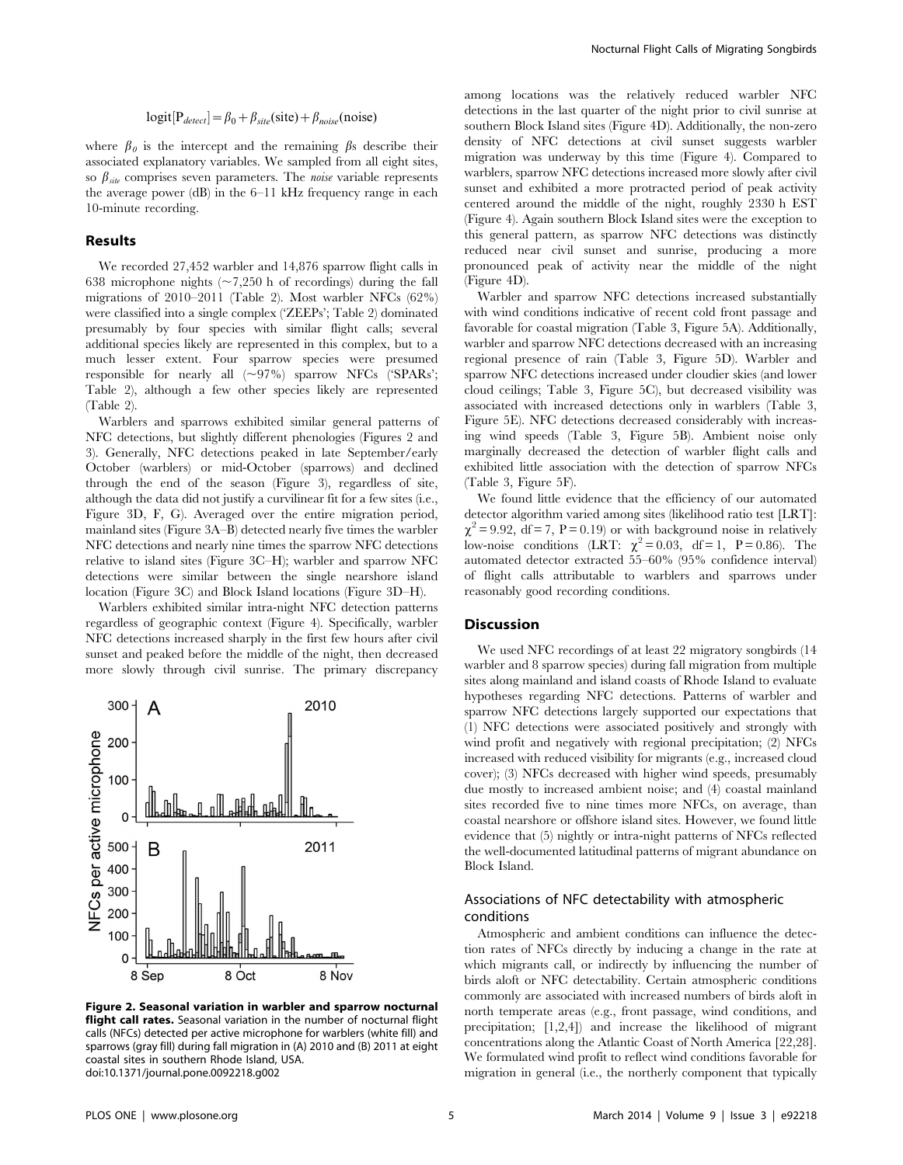$$
logit[P_{detect}] = \beta_0 + \beta_{site}(site) + \beta_{noise}(noise)
$$

where  $\beta_0$  is the intercept and the remaining  $\beta$ s describe their associated explanatory variables. We sampled from all eight sites, so  $\beta_{site}$  comprises seven parameters. The *noise* variable represents the average power (dB) in the 6–11 kHz frequency range in each 10-minute recording.

## Results

We recorded 27,452 warbler and 14,876 sparrow flight calls in 638 microphone nights  $(\sim 7,250 \text{ h of recordings})$  during the fall migrations of 2010–2011 (Table 2). Most warbler NFCs (62%) were classified into a single complex ('ZEEPs'; Table 2) dominated presumably by four species with similar flight calls; several additional species likely are represented in this complex, but to a much lesser extent. Four sparrow species were presumed responsible for nearly all  $(\sim 97\%)$  sparrow NFCs ('SPARs'; Table 2), although a few other species likely are represented (Table 2).

Warblers and sparrows exhibited similar general patterns of NFC detections, but slightly different phenologies (Figures 2 and 3). Generally, NFC detections peaked in late September/early October (warblers) or mid-October (sparrows) and declined through the end of the season (Figure 3), regardless of site, although the data did not justify a curvilinear fit for a few sites (i.e., Figure 3D, F, G). Averaged over the entire migration period, mainland sites (Figure 3A–B) detected nearly five times the warbler NFC detections and nearly nine times the sparrow NFC detections relative to island sites (Figure 3C–H); warbler and sparrow NFC detections were similar between the single nearshore island location (Figure 3C) and Block Island locations (Figure 3D–H).

Warblers exhibited similar intra-night NFC detection patterns regardless of geographic context (Figure 4). Specifically, warbler NFC detections increased sharply in the first few hours after civil sunset and peaked before the middle of the night, then decreased more slowly through civil sunrise. The primary discrepancy



Figure 2. Seasonal variation in warbler and sparrow nocturnal flight call rates. Seasonal variation in the number of nocturnal flight calls (NFCs) detected per active microphone for warblers (white fill) and sparrows (gray fill) during fall migration in (A) 2010 and (B) 2011 at eight coastal sites in southern Rhode Island, USA. doi:10.1371/journal.pone.0092218.g002

among locations was the relatively reduced warbler NFC detections in the last quarter of the night prior to civil sunrise at southern Block Island sites (Figure 4D). Additionally, the non-zero density of NFC detections at civil sunset suggests warbler migration was underway by this time (Figure 4). Compared to warblers, sparrow NFC detections increased more slowly after civil sunset and exhibited a more protracted period of peak activity centered around the middle of the night, roughly 2330 h EST (Figure 4). Again southern Block Island sites were the exception to this general pattern, as sparrow NFC detections was distinctly reduced near civil sunset and sunrise, producing a more pronounced peak of activity near the middle of the night (Figure 4D).

Warbler and sparrow NFC detections increased substantially with wind conditions indicative of recent cold front passage and favorable for coastal migration (Table 3, Figure 5A). Additionally, warbler and sparrow NFC detections decreased with an increasing regional presence of rain (Table 3, Figure 5D). Warbler and sparrow NFC detections increased under cloudier skies (and lower cloud ceilings; Table 3, Figure 5C), but decreased visibility was associated with increased detections only in warblers (Table 3, Figure 5E). NFC detections decreased considerably with increasing wind speeds (Table 3, Figure 5B). Ambient noise only marginally decreased the detection of warbler flight calls and exhibited little association with the detection of sparrow NFCs (Table 3, Figure 5F).

We found little evidence that the efficiency of our automated detector algorithm varied among sites (likelihood ratio test [LRT]:  $\chi^2$  = 9.92, df = 7, P = 0.19) or with background noise in relatively low-noise conditions (LRT:  $\chi^2 = 0.03$ , df = 1, P = 0.86). The automated detector extracted 55–60% (95% confidence interval) of flight calls attributable to warblers and sparrows under reasonably good recording conditions.

## **Discussion**

We used NFC recordings of at least 22 migratory songbirds (14 warbler and 8 sparrow species) during fall migration from multiple sites along mainland and island coasts of Rhode Island to evaluate hypotheses regarding NFC detections. Patterns of warbler and sparrow NFC detections largely supported our expectations that (1) NFC detections were associated positively and strongly with wind profit and negatively with regional precipitation; (2) NFCs increased with reduced visibility for migrants (e.g., increased cloud cover); (3) NFCs decreased with higher wind speeds, presumably due mostly to increased ambient noise; and (4) coastal mainland sites recorded five to nine times more NFCs, on average, than coastal nearshore or offshore island sites. However, we found little evidence that (5) nightly or intra-night patterns of NFCs reflected the well-documented latitudinal patterns of migrant abundance on Block Island.

# Associations of NFC detectability with atmospheric conditions

Atmospheric and ambient conditions can influence the detection rates of NFCs directly by inducing a change in the rate at which migrants call, or indirectly by influencing the number of birds aloft or NFC detectability. Certain atmospheric conditions commonly are associated with increased numbers of birds aloft in north temperate areas (e.g., front passage, wind conditions, and precipitation; [1,2,4]) and increase the likelihood of migrant concentrations along the Atlantic Coast of North America [22,28]. We formulated wind profit to reflect wind conditions favorable for migration in general (i.e., the northerly component that typically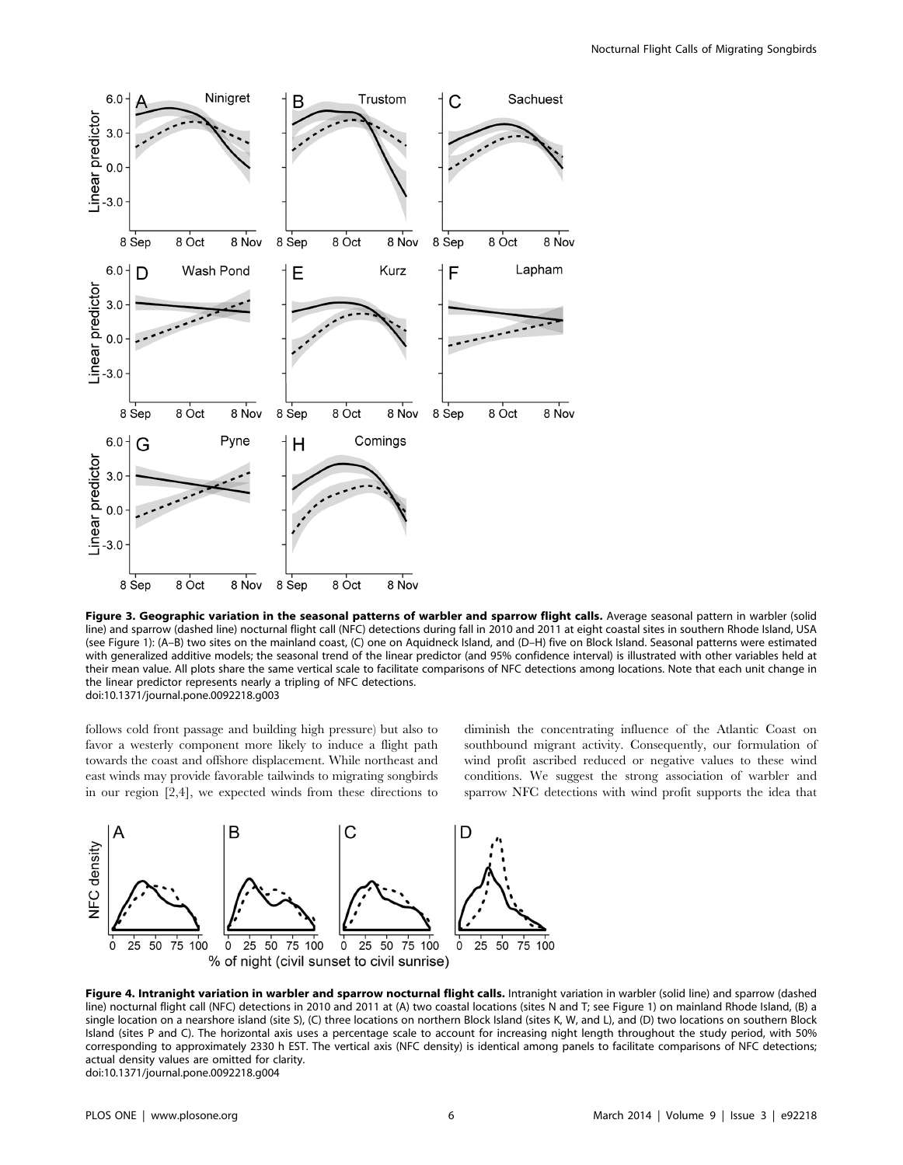

Figure 3. Geographic variation in the seasonal patterns of warbler and sparrow flight calls. Average seasonal pattern in warbler (solid line) and sparrow (dashed line) nocturnal flight call (NFC) detections during fall in 2010 and 2011 at eight coastal sites in southern Rhode Island, USA (see Figure 1): (A–B) two sites on the mainland coast, (C) one on Aquidneck Island, and (D–H) five on Block Island. Seasonal patterns were estimated with generalized additive models; the seasonal trend of the linear predictor (and 95% confidence interval) is illustrated with other variables held at their mean value. All plots share the same vertical scale to facilitate comparisons of NFC detections among locations. Note that each unit change in the linear predictor represents nearly a tripling of NFC detections. doi:10.1371/journal.pone.0092218.g003

follows cold front passage and building high pressure) but also to favor a westerly component more likely to induce a flight path towards the coast and offshore displacement. While northeast and east winds may provide favorable tailwinds to migrating songbirds in our region [2,4], we expected winds from these directions to diminish the concentrating influence of the Atlantic Coast on southbound migrant activity. Consequently, our formulation of wind profit ascribed reduced or negative values to these wind conditions. We suggest the strong association of warbler and sparrow NFC detections with wind profit supports the idea that



Figure 4. Intranight variation in warbler and sparrow nocturnal flight calls. Intranight variation in warbler (solid line) and sparrow (dashed line) nocturnal flight call (NFC) detections in 2010 and 2011 at (A) two coastal locations (sites N and T; see Figure 1) on mainland Rhode Island, (B) a single location on a nearshore island (site S), (C) three locations on northern Block Island (sites K, W, and L), and (D) two locations on southern Block Island (sites P and C). The horizontal axis uses a percentage scale to account for increasing night length throughout the study period, with 50% corresponding to approximately 2330 h EST. The vertical axis (NFC density) is identical among panels to facilitate comparisons of NFC detections; actual density values are omitted for clarity. doi:10.1371/journal.pone.0092218.g004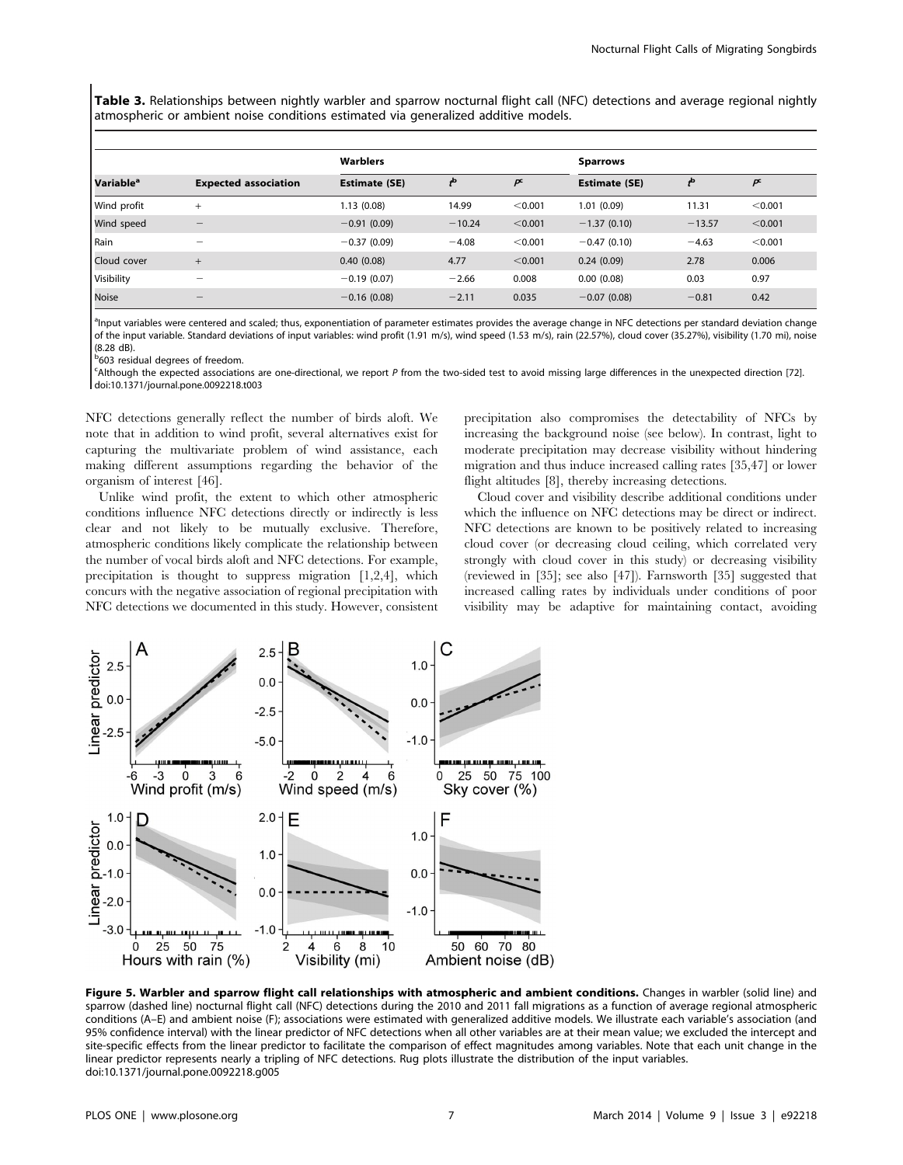Table 3. Relationships between nightly warbler and sparrow nocturnal flight call (NFC) detections and average regional nightly atmospheric or ambient noise conditions estimated via generalized additive models.

|                       |                             | Warblers             |          |         | <b>Sparrows</b>      |          |         |  |
|-----------------------|-----------------------------|----------------------|----------|---------|----------------------|----------|---------|--|
| Variable <sup>a</sup> | <b>Expected association</b> | <b>Estimate (SE)</b> |          | p       | <b>Estimate (SE)</b> |          |         |  |
| Wind profit           | $^{+}$                      | 1.13(0.08)           | 14.99    | < 0.001 | 1.01(0.09)           | 11.31    | < 0.001 |  |
| Wind speed            |                             | $-0.91(0.09)$        | $-10.24$ | < 0.001 | $-1.37(0.10)$        | $-13.57$ | < 0.001 |  |
| Rain                  | $\overline{\phantom{a}}$    | $-0.37(0.09)$        | $-4.08$  | < 0.001 | $-0.47(0.10)$        | $-4.63$  | < 0.001 |  |
| Cloud cover           | $^{+}$                      | 0.40(0.08)           | 4.77     | < 0.001 | 0.24(0.09)           | 2.78     | 0.006   |  |
| Visibility            | -                           | $-0.19(0.07)$        | $-2.66$  | 0.008   | 0.00(0.08)           | 0.03     | 0.97    |  |
| Noise                 | -                           | $-0.16(0.08)$        | $-2.11$  | 0.035   | $-0.07(0.08)$        | $-0.81$  | 0.42    |  |

<sup>a</sup>lnput variables were centered and scaled; thus, exponentiation of parameter estimates provides the average change in NFC detections per standard deviation change of the input variable. Standard deviations of input variables: wind profit (1.91 m/s), wind speed (1.53 m/s), rain (22.57%), cloud cover (35.27%), visibility (1.70 mi), noise (8.28 dB).

**b**603 residual degrees of freedom.

<sup>c</sup>Although the expected associations are one-directional, we report P from the two-sided test to avoid missing large differences in the unexpected direction [72] doi:10.1371/journal.pone.0092218.t003

NFC detections generally reflect the number of birds aloft. We note that in addition to wind profit, several alternatives exist for capturing the multivariate problem of wind assistance, each making different assumptions regarding the behavior of the organism of interest [46].

Unlike wind profit, the extent to which other atmospheric conditions influence NFC detections directly or indirectly is less clear and not likely to be mutually exclusive. Therefore, atmospheric conditions likely complicate the relationship between the number of vocal birds aloft and NFC detections. For example, precipitation is thought to suppress migration [1,2,4], which concurs with the negative association of regional precipitation with NFC detections we documented in this study. However, consistent

precipitation also compromises the detectability of NFCs by increasing the background noise (see below). In contrast, light to moderate precipitation may decrease visibility without hindering migration and thus induce increased calling rates [35,47] or lower flight altitudes [8], thereby increasing detections.

Cloud cover and visibility describe additional conditions under which the influence on NFC detections may be direct or indirect. NFC detections are known to be positively related to increasing cloud cover (or decreasing cloud ceiling, which correlated very strongly with cloud cover in this study) or decreasing visibility (reviewed in [35]; see also [47]). Farnsworth [35] suggested that increased calling rates by individuals under conditions of poor visibility may be adaptive for maintaining contact, avoiding



Figure 5. Warbler and sparrow flight call relationships with atmospheric and ambient conditions. Changes in warbler (solid line) and sparrow (dashed line) nocturnal flight call (NFC) detections during the 2010 and 2011 fall migrations as a function of average regional atmospheric conditions (A–E) and ambient noise (F); associations were estimated with generalized additive models. We illustrate each variable's association (and 95% confidence interval) with the linear predictor of NFC detections when all other variables are at their mean value; we excluded the intercept and site-specific effects from the linear predictor to facilitate the comparison of effect magnitudes among variables. Note that each unit change in the linear predictor represents nearly a tripling of NFC detections. Rug plots illustrate the distribution of the input variables. doi:10.1371/journal.pone.0092218.g005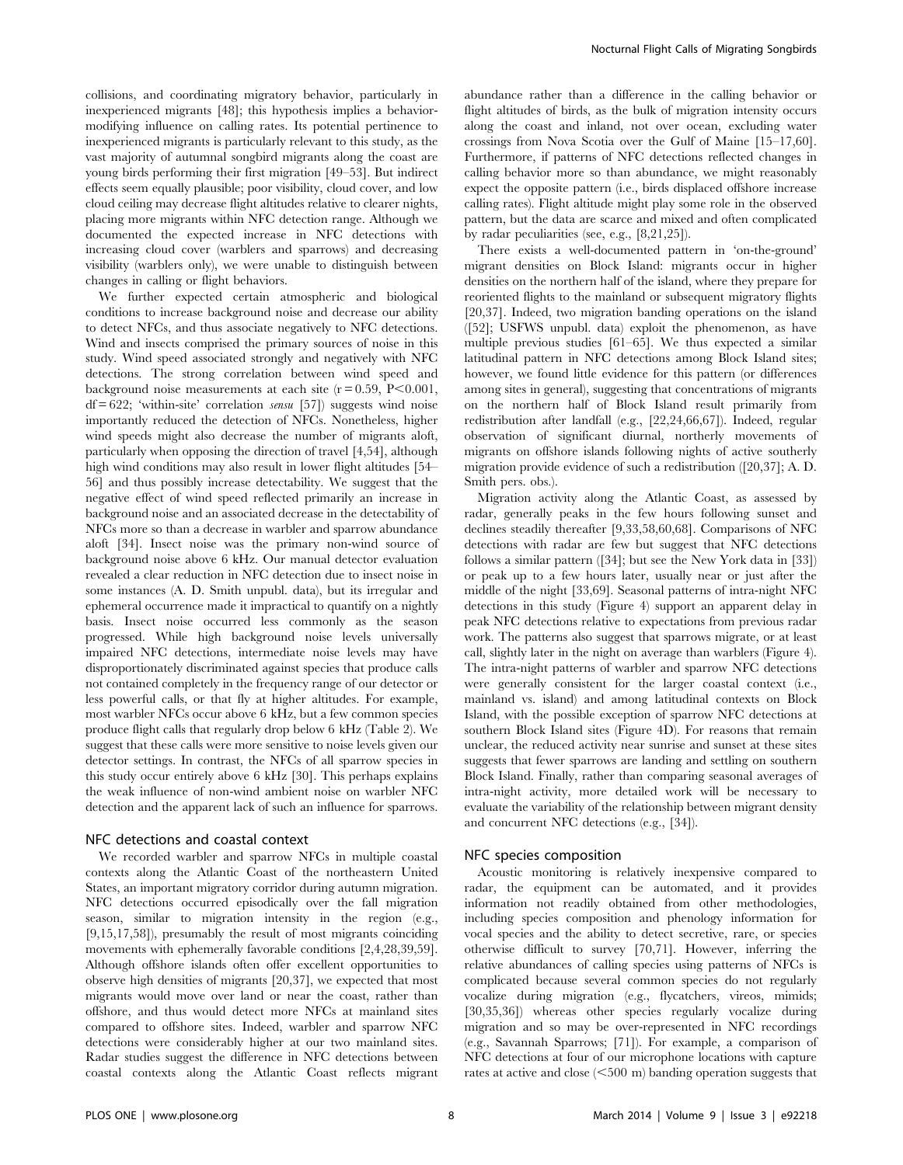collisions, and coordinating migratory behavior, particularly in inexperienced migrants [48]; this hypothesis implies a behaviormodifying influence on calling rates. Its potential pertinence to inexperienced migrants is particularly relevant to this study, as the vast majority of autumnal songbird migrants along the coast are young birds performing their first migration [49–53]. But indirect effects seem equally plausible; poor visibility, cloud cover, and low cloud ceiling may decrease flight altitudes relative to clearer nights, placing more migrants within NFC detection range. Although we documented the expected increase in NFC detections with increasing cloud cover (warblers and sparrows) and decreasing visibility (warblers only), we were unable to distinguish between changes in calling or flight behaviors.

We further expected certain atmospheric and biological conditions to increase background noise and decrease our ability to detect NFCs, and thus associate negatively to NFC detections. Wind and insects comprised the primary sources of noise in this study. Wind speed associated strongly and negatively with NFC detections. The strong correlation between wind speed and background noise measurements at each site  $(r = 0.59, P \le 0.001,$  $df = 622$ ; 'within-site' correlation *sensu* [57]) suggests wind noise importantly reduced the detection of NFCs. Nonetheless, higher wind speeds might also decrease the number of migrants aloft, particularly when opposing the direction of travel [4,54], although high wind conditions may also result in lower flight altitudes [54– 56] and thus possibly increase detectability. We suggest that the negative effect of wind speed reflected primarily an increase in background noise and an associated decrease in the detectability of NFCs more so than a decrease in warbler and sparrow abundance aloft [34]. Insect noise was the primary non-wind source of background noise above 6 kHz. Our manual detector evaluation revealed a clear reduction in NFC detection due to insect noise in some instances (A. D. Smith unpubl. data), but its irregular and ephemeral occurrence made it impractical to quantify on a nightly basis. Insect noise occurred less commonly as the season progressed. While high background noise levels universally impaired NFC detections, intermediate noise levels may have disproportionately discriminated against species that produce calls not contained completely in the frequency range of our detector or less powerful calls, or that fly at higher altitudes. For example, most warbler NFCs occur above 6 kHz, but a few common species produce flight calls that regularly drop below 6 kHz (Table 2). We suggest that these calls were more sensitive to noise levels given our detector settings. In contrast, the NFCs of all sparrow species in this study occur entirely above 6 kHz [30]. This perhaps explains the weak influence of non-wind ambient noise on warbler NFC detection and the apparent lack of such an influence for sparrows.

## NFC detections and coastal context

We recorded warbler and sparrow NFCs in multiple coastal contexts along the Atlantic Coast of the northeastern United States, an important migratory corridor during autumn migration. NFC detections occurred episodically over the fall migration season, similar to migration intensity in the region (e.g., [9,15,17,58]), presumably the result of most migrants coinciding movements with ephemerally favorable conditions [2,4,28,39,59]. Although offshore islands often offer excellent opportunities to observe high densities of migrants [20,37], we expected that most migrants would move over land or near the coast, rather than offshore, and thus would detect more NFCs at mainland sites compared to offshore sites. Indeed, warbler and sparrow NFC detections were considerably higher at our two mainland sites. Radar studies suggest the difference in NFC detections between coastal contexts along the Atlantic Coast reflects migrant

abundance rather than a difference in the calling behavior or flight altitudes of birds, as the bulk of migration intensity occurs along the coast and inland, not over ocean, excluding water crossings from Nova Scotia over the Gulf of Maine [15–17,60]. Furthermore, if patterns of NFC detections reflected changes in calling behavior more so than abundance, we might reasonably expect the opposite pattern (i.e., birds displaced offshore increase calling rates). Flight altitude might play some role in the observed pattern, but the data are scarce and mixed and often complicated by radar peculiarities (see, e.g., [8,21,25]).

There exists a well-documented pattern in 'on-the-ground' migrant densities on Block Island: migrants occur in higher densities on the northern half of the island, where they prepare for reoriented flights to the mainland or subsequent migratory flights [20,37]. Indeed, two migration banding operations on the island ([52]; USFWS unpubl. data) exploit the phenomenon, as have multiple previous studies [61–65]. We thus expected a similar latitudinal pattern in NFC detections among Block Island sites; however, we found little evidence for this pattern (or differences among sites in general), suggesting that concentrations of migrants on the northern half of Block Island result primarily from redistribution after landfall (e.g., [22,24,66,67]). Indeed, regular observation of significant diurnal, northerly movements of migrants on offshore islands following nights of active southerly migration provide evidence of such a redistribution ([20,37]; A. D. Smith pers. obs.).

Migration activity along the Atlantic Coast, as assessed by radar, generally peaks in the few hours following sunset and declines steadily thereafter [9,33,58,60,68]. Comparisons of NFC detections with radar are few but suggest that NFC detections follows a similar pattern ([34]; but see the New York data in [33]) or peak up to a few hours later, usually near or just after the middle of the night [33,69]. Seasonal patterns of intra-night NFC detections in this study (Figure 4) support an apparent delay in peak NFC detections relative to expectations from previous radar work. The patterns also suggest that sparrows migrate, or at least call, slightly later in the night on average than warblers (Figure 4). The intra-night patterns of warbler and sparrow NFC detections were generally consistent for the larger coastal context (i.e., mainland vs. island) and among latitudinal contexts on Block Island, with the possible exception of sparrow NFC detections at southern Block Island sites (Figure 4D). For reasons that remain unclear, the reduced activity near sunrise and sunset at these sites suggests that fewer sparrows are landing and settling on southern Block Island. Finally, rather than comparing seasonal averages of intra-night activity, more detailed work will be necessary to evaluate the variability of the relationship between migrant density and concurrent NFC detections (e.g., [34]).

## NFC species composition

Acoustic monitoring is relatively inexpensive compared to radar, the equipment can be automated, and it provides information not readily obtained from other methodologies, including species composition and phenology information for vocal species and the ability to detect secretive, rare, or species otherwise difficult to survey [70,71]. However, inferring the relative abundances of calling species using patterns of NFCs is complicated because several common species do not regularly vocalize during migration (e.g., flycatchers, vireos, mimids; [30,35,36]) whereas other species regularly vocalize during migration and so may be over-represented in NFC recordings (e.g., Savannah Sparrows; [71]). For example, a comparison of NFC detections at four of our microphone locations with capture rates at active and close  $(<500 \text{ m})$  banding operation suggests that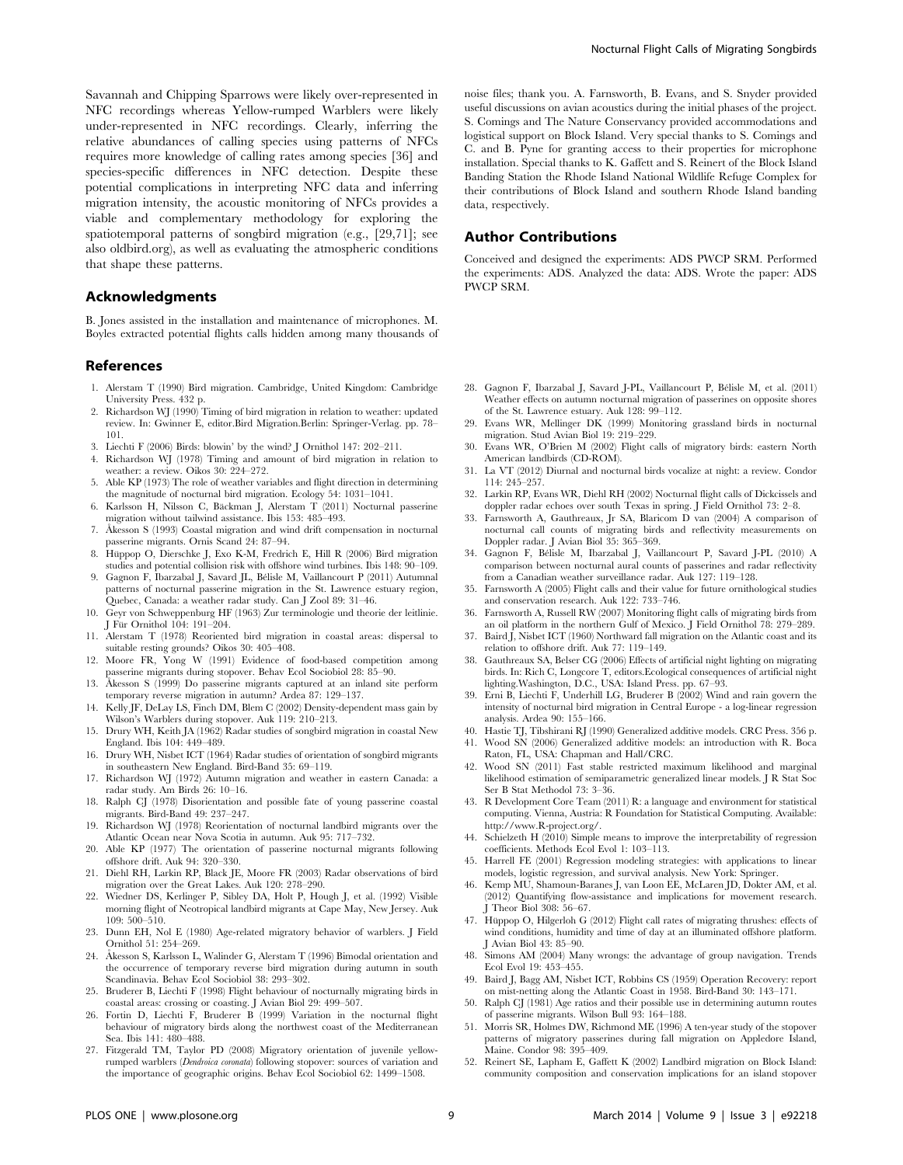Savannah and Chipping Sparrows were likely over-represented in NFC recordings whereas Yellow-rumped Warblers were likely under-represented in NFC recordings. Clearly, inferring the relative abundances of calling species using patterns of NFCs requires more knowledge of calling rates among species [36] and species-specific differences in NFC detection. Despite these potential complications in interpreting NFC data and inferring migration intensity, the acoustic monitoring of NFCs provides a viable and complementary methodology for exploring the spatiotemporal patterns of songbird migration (e.g., [29,71]; see also oldbird.org), as well as evaluating the atmospheric conditions that shape these patterns.

# Acknowledgments

B. Jones assisted in the installation and maintenance of microphones. M. Boyles extracted potential flights calls hidden among many thousands of

## References

- 1. Alerstam T (1990) Bird migration. Cambridge, United Kingdom: Cambridge University Press. 432 p.
- Richardson WJ (1990) Timing of bird migration in relation to weather: updated review. In: Gwinner E, editor.Bird Migration.Berlin: Springer-Verlag. pp. 78– 101.
- 3. Liechti F (2006) Birds: blowin' by the wind? J Ornithol 147: 202–211.
- 4. Richardson WJ (1978) Timing and amount of bird migration in relation to weather: a review. Oikos 30: 224–272.
- 5. Able KP (1973) The role of weather variables and flight direction in determining the magnitude of nocturnal bird migration. Ecology 54: 1031–1041.
- 6. Karlsson H, Nilsson C, Bäckman J, Alerstam T (2011) Nocturnal passerine migration without tailwind assistance. Ibis 153: 485–493.
- 7. Åkesson S (1993) Coastal migration and wind drift compensation in nocturnal passerine migrants. Ornis Scand 24: 87–94.
- 8. Hüppop O, Dierschke J, Exo K-M, Fredrich E, Hill R (2006) Bird migration studies and potential collision risk with offshore wind turbines. Ibis 148: 90–109.
- 9. Gagnon F, Ibarzabal J, Savard JL, Bélisle M, Vaillancourt P (2011) Autumnal patterns of nocturnal passerine migration in the St. Lawrence estuary region, Quebec, Canada: a weather radar study. Can J Zool 89: 31–46.
- 10. Geyr von Schweppenburg HF (1963) Zur terminologie und theorie der leitlinie. J Für Ornithol 104: 191–204.
- 11. Alerstam T (1978) Reoriented bird migration in coastal areas: dispersal to suitable resting grounds? Oikos 30: 405–408.
- 12. Moore FR, Yong W (1991) Evidence of food-based competition among passerine migrants during stopover. Behav Ecol Sociobiol 28: 85–90.
- 13. Åkesson S (1999) Do passerine migrants captured at an inland site perform temporary reverse migration in autumn? Ardea 87: 129–137.
- 14. Kelly JF, DeLay LS, Finch DM, Blem C (2002) Density-dependent mass gain by Wilson's Warblers during stopover. Auk 119: 210–213.
- 15. Drury WH, Keith JA (1962) Radar studies of songbird migration in coastal New England. Ibis 104: 449–489.
- 16. Drury WH, Nisbet ICT (1964) Radar studies of orientation of songbird migrants in southeastern New England. Bird-Band 35: 69–119.
- 17. Richardson WJ (1972) Autumn migration and weather in eastern Canada: a radar study. Am Birds 26: 10–16.
- 18. Ralph CJ (1978) Disorientation and possible fate of young passerine coastal migrants. Bird-Band 49: 237–247.
- 19. Richardson WJ (1978) Reorientation of nocturnal landbird migrants over the Atlantic Ocean near Nova Scotia in autumn. Auk 95: 717–732.
- 20. Able KP (1977) The orientation of passerine nocturnal migrants following offshore drift. Auk 94: 320–330.
- 21. Diehl RH, Larkin RP, Black JE, Moore FR (2003) Radar observations of bird migration over the Great Lakes. Auk 120: 278–290.
- 22. Wiedner DS, Kerlinger P, Sibley DA, Holt P, Hough J, et al. (1992) Visible morning flight of Neotropical landbird migrants at Cape May, New Jersey. Auk 109: 500–510.
- 23. Dunn EH, Nol E (1980) Age-related migratory behavior of warblers. J Field Ornithol 51: 254–269.
- 24. Åkesson S, Karlsson L, Walinder G, Alerstam T (1996) Bimodal orientation and the occurrence of temporary reverse bird migration during autumn in south Scandinavia. Behav Ecol Sociobiol 38: 293–302.
- 25. Bruderer B, Liechti F (1998) Flight behaviour of nocturnally migrating birds in coastal areas: crossing or coasting. J Avian Biol 29: 499–507.
- 26. Fortin D, Liechti F, Bruderer B (1999) Variation in the nocturnal flight behaviour of migratory birds along the northwest coast of the Mediterranean Sea. Ibis 141: 480–488.
- 27. Fitzgerald TM, Taylor PD (2008) Migratory orientation of juvenile yellowrumped warblers (Dendroica coronata) following stopover: sources of variation and the importance of geographic origins. Behav Ecol Sociobiol 62: 1499–1508.

noise files; thank you. A. Farnsworth, B. Evans, and S. Snyder provided useful discussions on avian acoustics during the initial phases of the project. S. Comings and The Nature Conservancy provided accommodations and logistical support on Block Island. Very special thanks to S. Comings and C. and B. Pyne for granting access to their properties for microphone installation. Special thanks to K. Gaffett and S. Reinert of the Block Island Banding Station the Rhode Island National Wildlife Refuge Complex for their contributions of Block Island and southern Rhode Island banding data, respectively.

### Author Contributions

Conceived and designed the experiments: ADS PWCP SRM. Performed the experiments: ADS. Analyzed the data: ADS. Wrote the paper: ADS PWCP SRM.

- Gagnon F, Ibarzabal J, Savard J-PL, Vaillancourt P, Bélisle M, et al. (2011) Weather effects on autumn nocturnal migration of passerines on opposite shores of the St. Lawrence estuary. Auk 128: 99–112.
- 29. Evans WR, Mellinger DK (1999) Monitoring grassland birds in nocturnal migration. Stud Avian Biol 19: 219–229.
- 30. Evans WR, O'Brien M (2002) Flight calls of migratory birds: eastern North American landbirds (CD-ROM).
- 31. La VT (2012) Diurnal and nocturnal birds vocalize at night: a review. Condor 114: 245–257.
- 32. Larkin RP, Evans WR, Diehl RH (2002) Nocturnal flight calls of Dickcissels and doppler radar echoes over south Texas in spring. J Field Ornithol 73: 2–8.
- 33. Farnsworth A, Gauthreaux, Jr SA, Blaricom D van (2004) A comparison of nocturnal call counts of migrating birds and reflectivity measurements on Doppler radar. J Avian Biol 35: 365–369.
- 34. Gagnon F, Bélisle M, Ibarzabal J, Vaillancourt P, Savard J-PL (2010) A comparison between nocturnal aural counts of passerines and radar reflectivity from a Canadian weather surveillance radar. Auk 127: 119–128.
- 35. Farnsworth A (2005) Flight calls and their value for future ornithological studies and conservation research. Auk 122: 733–746.
- 36. Farnsworth A, Russell RW (2007) Monitoring flight calls of migrating birds from an oil platform in the northern Gulf of Mexico. J Field Ornithol 78: 279–289.
- 37. Baird J, Nisbet ICT (1960) Northward fall migration on the Atlantic coast and its relation to offshore drift. Auk 77: 119–149.
- 38. Gauthreaux SA, Belser CG (2006) Effects of artificial night lighting on migrating birds. In: Rich C, Longcore T, editors.Ecological consequences of artificial night lighting.Washington, D.C., USA: Island Press. pp. 67–93.
- 39. Erni B, Liechti F, Underhill LG, Bruderer B (2002) Wind and rain govern the intensity of nocturnal bird migration in Central Europe - a log-linear regression analysis. Ardea 90: 155–166.
- 40. Hastie TJ, Tibshirani RJ (1990) Generalized additive models. CRC Press. 356 p.
- 41. Wood SN (2006) Generalized additive models: an introduction with R. Boca Raton, FL, USA: Chapman and Hall/CRC.
- 42. Wood SN (2011) Fast stable restricted maximum likelihood and marginal likelihood estimation of semiparametric generalized linear models. J R Stat Soc Ser B Stat Methodol 73: 3–36.
- 43. R Development Core Team (2011) R: a language and environment for statistical computing. Vienna, Austria: R Foundation for Statistical Computing. Available: [http://www.R-project.org/.](http://www.R-project.org/)
- 44. Schielzeth H (2010) Simple means to improve the interpretability of regression coefficients. Methods Ecol Evol 1: 103–113.
- 45. Harrell FE (2001) Regression modeling strategies: with applications to linear models, logistic regression, and survival analysis. New York: Springer.
- 46. Kemp MU, Shamoun-Baranes J, van Loon EE, McLaren JD, Dokter AM, et al. (2012) Quantifying flow-assistance and implications for movement research. Theor Biol 308: 56-67
- 47. Hüppop O, Hilgerloh G (2012) Flight call rates of migrating thrushes: effects of wind conditions, humidity and time of day at an illuminated offshore platform. J Avian Biol 43: 85–90.
- 48. Simons AM (2004) Many wrongs: the advantage of group navigation. Trends Ecol Evol 19: 453–455.
- 49. Baird J, Bagg AM, Nisbet ICT, Robbins CS (1959) Operation Recovery: report on mist-netting along the Atlantic Coast in 1958. Bird-Band 30: 143–171.
- 50. Ralph CJ (1981) Age ratios and their possible use in determining autumn routes of passerine migrants. Wilson Bull 93: 164–188.
- 51. Morris SR, Holmes DW, Richmond ME (1996) A ten-year study of the stopover patterns of migratory passerines during fall migration on Appledore Island, Maine. Condor 98: 395–409.
- 52. Reinert SE, Lapham E, Gaffett K (2002) Landbird migration on Block Island: community composition and conservation implications for an island stopover